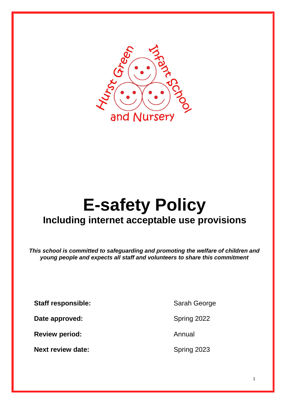

# **E-safety Policy Including internet acceptable use provisions**

*This school is committed to safeguarding and promoting the welfare of children and young people and expects all staff and volunteers to share this commitment*

**Staff responsible:** Sarah George

**Date approved:** Spring 2022

**Review period:** Annual

**Next review date:** Spring 2023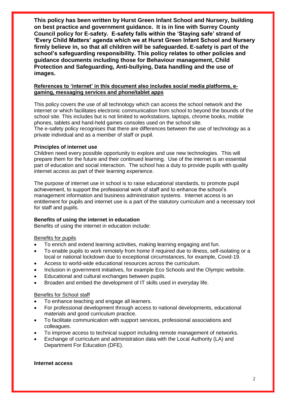**This policy has been written by Hurst Green Infant School and Nursery, building on best practice and government guidance. It is in line with Surrey County Council policy for E-safety. E-safety falls within the 'Staying safe' strand of 'Every Child Matters' agenda which we at Hurst Green Infant School and Nursery firmly believe in, so that all children will be safeguarded. E-safety is part of the school's safeguarding responsibility. This policy relates to other policies and guidance documents including those for Behaviour management, Child Protection and Safeguarding, Anti-bullying, Data handling and the use of images.**

## **References to 'internet' in this document also includes social media platforms, egaming, messaging services and phone/tablet apps**

This policy covers the use of all technology which can access the school network and the internet or which facilitates electronic communication from school to beyond the bounds of the school site. This includes but is not limited to workstations, laptops, chrome books, mobile phones, tablets and hand-held games consoles used on the school site.

The e-safety policy recognises that there are differences between the use of technology as a private individual and as a member of staff or pupil.

## **Principles of internet use**

Children need every possible opportunity to explore and use new technologies. This will prepare them for the future and their continued learning. Use of the internet is an essential part of education and social interaction. The school has a duty to provide pupils with quality internet access as part of their learning experience.

The purpose of internet use in school is to raise educational standards, to promote pupil achievement, to support the professional work of staff and to enhance the school's management information and business administration systems. Internet access is an entitlement for pupils and internet use is a part of the statutory curriculum and a necessary tool for staff and pupils.

## **Benefits of using the internet in education**

Benefits of using the internet in education include:

## Benefits for pupils

- To enrich and extend learning activities, making learning engaging and fun.
- To enable pupils to work remotely from home if required due to illness, self-isolating or a local or national lockdown due to exceptional circumstances, for example, Covid-19.
- Access to world-wide educational resources across the curriculum.
- Inclusion in government initiatives, for example Eco Schools and the Olympic website.
- Educational and cultural exchanges between pupils.
- Broaden and embed the development of IT skills used in everyday life.

#### Benefits for School staff

- To enhance teaching and engage all learners.
- For professional development through access to national developments, educational materials and good curriculum practice.
- To facilitate communication with support services, professional associations and colleagues.
- To improve access to technical support including remote management of networks.
- Exchange of curriculum and administration data with the Local Authority (LA) and Department For Education (DFE).

#### **Internet access**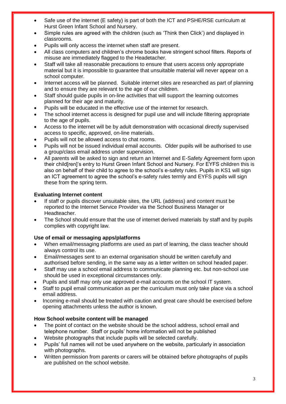- Safe use of the internet (E safety) is part of both the ICT and PSHE/RSE curriculum at Hurst Green Infant School and Nursery.
- Simple rules are agreed with the children (such as 'Think then Click') and displayed in classrooms.
- Pupils will only access the internet when staff are present.
- All class computers and children's chrome books have stringent school filters. Reports of misuse are immediately flagged to the Headetacher.
- Staff will take all reasonable precautions to ensure that users access only appropriate material but it is impossible to guarantee that unsuitable material will never appear on a school computer.
- Internet access will be planned. Suitable internet sites are researched as part of planning and to ensure they are relevant to the age of our children.
- Staff should guide pupils in on-line activities that will support the learning outcomes planned for their age and maturity.
- Pupils will be educated in the effective use of the internet for research.
- The school internet access is designed for pupil use and will include filtering appropriate to the age of pupils.
- Access to the internet will be by adult demonstration with occasional directly supervised access to specific, approved, on-line materials.
- Pupils will not be allowed access to chat rooms.
- Pupils will not be issued individual email accounts. Older pupils will be authorised to use a group/class email address under supervision.
- All parents will be asked to sign and return an Internet and E-Safety Agreement form upon their child[ren]'s entry to Hurst Green Infant School and Nursery. For EYFS children this is also on behalf of their child to agree to the school's e-safety rules. Pupils in KS1 will sign an ICT agreement to agree the school's e-safety rules termly and EYFS pupils will sign these from the spring term.

## **Evaluating Internet content**

- If staff or pupils discover unsuitable sites, the URL (address) and content must be reported to the Internet Service Provider via the School Business Manager or Headteacher.
- The School should ensure that the use of internet derived materials by staff and by pupils complies with copyright law.

# **Use of email or messaging apps/platforms**

- When email/messaging platforms are used as part of learning, the class teacher should always control its use.
- Email/messages sent to an external organisation should be written carefully and authorised before sending, in the same way as a letter written on school headed paper.
- Staff may use a school email address to communicate planning etc. but non-school use should be used in exceptional circumstances only.
- Pupils and staff may only use approved e-mail accounts on the school IT system.
- Staff to pupil email communication as per the curriculum must only take place via a school email address.
- Incoming e-mail should be treated with caution and great care should be exercised before opening attachments unless the author is known.

## **How School website content will be managed**

- The point of contact on the website should be the school address, school email and telephone number. Staff or pupils' home information will not be published
- Website photographs that include pupils will be selected carefully.
- Pupils' full names will not be used anywhere on the website, particularly in association with photographs.
- Written permission from parents or carers will be obtained before photographs of pupils are published on the school website.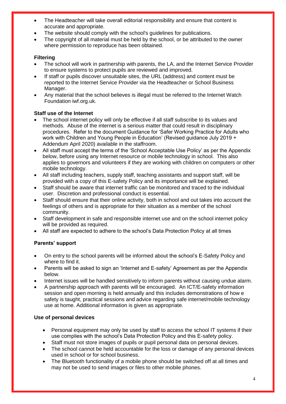- The Headteacher will take overall editorial responsibility and ensure that content is accurate and appropriate.
- The website should comply with the school's guidelines for publications.
- The copyright of all material must be held by the school, or be attributed to the owner where permission to reproduce has been obtained.

## **Filtering**

- The school will work in partnership with parents, the LA, and the Internet Service Provider to ensure systems to protect pupils are reviewed and improved.
- If staff or pupils discover unsuitable sites, the URL (address) and content must be reported to the Internet Service Provider via the Headteacher or School Business Manager.
- Any material that the school believes is illegal must be referred to the Internet Watch Foundation iwf.org.uk.

## **Staff use of the Internet**

- The school internet policy will only be effective if all staff subscribe to its values and methods. Abuse of the internet is a serious matter that could result in disciplinary procedures. Refer to the document Guidance for 'Safer Working Practice for Adults who work with Children and Young People in Education' (Revised guidance July 2019 + Addendum April 2020) available in the staffroom.
- All staff must accept the terms of the 'School Acceptable Use Policy' as per the Appendix below, before using any Internet resource or mobile technology in school. This also applies to governors and volunteers if they are working with children on computers or other mobile technology.
- All staff including teachers, supply staff, teaching assistants and support staff, will be provided with a copy of this E-safety Policy and its importance will be explained.
- Staff should be aware that internet traffic can be monitored and traced to the individual user. Discretion and professional conduct is essential.
- Staff should ensure that their online activity, both in school and out takes into account the feelings of others and is appropriate for their situation as a member of the school community.
- Staff development in safe and responsible internet use and on the school internet policy will be provided as required.
- All staff are expected to adhere to the school's Data Protection Policy at all times

# **Parents' support**

- On entry to the school parents will be informed about the school's E-Safety Policy and where to find it.
- Parents will be asked to sign an 'Internet and E-safety' Agreement as per the Appendix below.
- Internet issues will be handled sensitively to inform parents without causing undue alarm.
- A partnership approach with parents will be encouraged. An ICT/E-safety information session and open morning is held annually and this includes demonstrations of how e safety is taught, practical sessions and advice regarding safe internet/mobile technology use at home. Additional information is given as appropriate.

# **Use of personal devices**

- Personal equipment may only be used by staff to access the school IT systems if their use complies with the school's Data Protection Policy and this E-safety policy.
- Staff must not store images of pupils or pupil personal data on personal devices.
- The school cannot be held accountable for the loss or damage of any personal devices used in school or for school business.
- The Bluetooth functionality of a mobile phone should be switched off at all times and may not be used to send images or files to other mobile phones.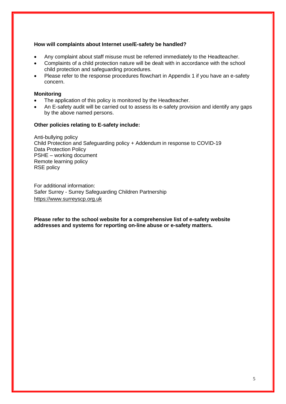## **How will complaints about Internet use/E-safety be handled?**

- Any complaint about staff misuse must be referred immediately to the Headteacher.
- Complaints of a child protection nature will be dealt with in accordance with the school child protection and safeguarding procedures.
- Please refer to the response procedures flowchart in Appendix 1 if you have an e-safety concern.

### **Monitoring**

- The application of this policy is monitored by the Headteacher.
- An E-safety audit will be carried out to assess its e-safety provision and identify any gaps by the above named persons.

## **Other policies relating to E-safety include:**

Anti-bullying policy Child Protection and Safeguarding policy + Addendum in response to COVID-19 Data Protection Policy PSHE – working document Remote learning policy RSE policy

For additional information: Safer Surrey - Surrey Safeguarding Children Partnership [https://www.surreyscp.org.uk](https://www.surreyscp.org.uk/)

**Please refer to the school website for a comprehensive list of e-safety website addresses and systems for reporting on-line abuse or e-safety matters.**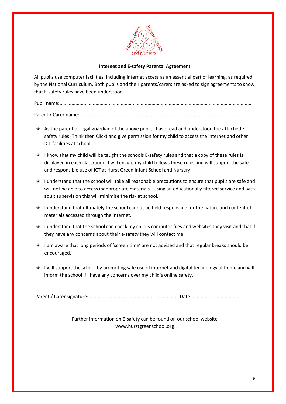

## **Internet and E-safety Parental Agreement**

All pupils use computer facilities, including internet access as an essential part of learning, as required by the National Curriculum. Both pupils and their parents/carers are asked to sign agreements to show that E-safety rules have been understood.

Pupil name:................................................................................................................................................

Parent / Carer name:.............................................................................................................................

- $\overline{\phantom{a}}$  As the parent or legal guardian of the above pupil, I have read and understood the attached Esafety rules (Think then Click) and give permission for my child to access the internet and other ICT facilities at school.
- $\overrightarrow{ }$  I know that my child will be taught the schools E-safety rules and that a copy of these rules is displayed in each classroom. I will ensure my child follows these rules and will support the safe and responsible use of ICT at Hurst Green Infant School and Nursery.
- I understand that the school will take all reasonable precautions to ensure that pupils are safe and will not be able to access inappropriate materials. Using an educationally filtered service and with adult supervision this will minimise the risk at school.
- I understand that ultimately the school cannot be held responsible for the nature and content of materials accessed through the internet.
- I understand that the school can check my child's computer files and websites they visit and that if they have any concerns about their e-safety they will contact me.
- I am aware that long periods of 'screen time' are not advised and that regular breaks should be encouraged.
- $\bullet$  I will support the school by promoting safe use of internet and digital technology at home and will inform the school if I have any concerns over my child's online safety.

Parent / Carer signature:.................................................................. Date:....................................

Further information on E-safety can be found on our school website [www.hurstgreenschool.org](http://www.hurstgreenschool.org/)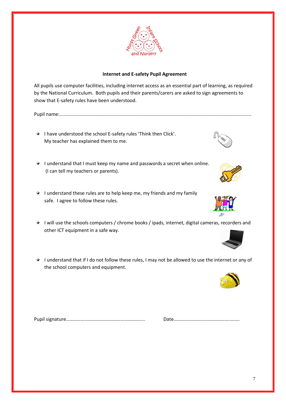# **Internet and E-safety Pupil Agreement**

All pupils use computer facilities, including internet access as an essential part of learning, as required by the National Curriculum. Both pupils and their parents/carers are asked to sign agreements to show that E-safety rules have been understood.

Pupil name:................................................................................................................................................

- $\overrightarrow{ }$  I have understood the school E-safety rules 'Think then Click'. My teacher has explained them to me.
- I understand that I must keep my name and passwords a secret when online. (I can tell my teachers or parents).
- $\overrightarrow{ }$  I understand these rules are to help keep me, my friends and my family safe. I agree to follow these rules.
- I will use the schools computers / chrome books / ipads, internet, digital cameras, recorders and other ICT equipment in a safe way.
- I understand that if I do not follow these rules, I may not be allowed to use the internet or any of the school computers and equipment.

Pupil signature……………………………………………………….. Date………………………………………..…….









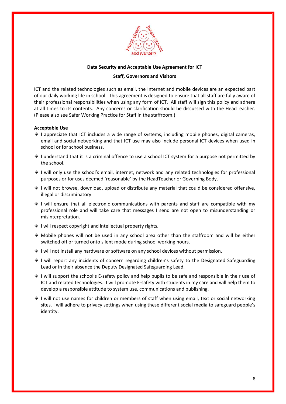

### **Data Security and Acceptable Use Agreement for ICT**

#### **Staff, Governors and Visitors**

ICT and the related technologies such as email, the Internet and mobile devices are an expected part of our daily working life in school. This agreement is designed to ensure that all staff are fully aware of their professional responsibilities when using any form of ICT. All staff will sign this policy and adhere at all times to its contents. Any concerns or clarification should be discussed with the HeadTeacher. (Please also see Safer Working Practice for Staff in the staffroom.)

#### **Acceptable Use**

- $\overline{\bullet}$  I appreciate that ICT includes a wide range of systems, including mobile phones, digital cameras, email and social networking and that ICT use may also include personal ICT devices when used in school or for school business.
- $\bullet$  I understand that it is a criminal offence to use a school ICT system for a purpose not permitted by the school.
- I will only use the school's email, internet, network and any related technologies for professional purposes or for uses deemed 'reasonable' by the HeadTeacher or Governing Body.
- $\rightarrow$  I will not browse, download, upload or distribute any material that could be considered offensive, illegal or discriminatory.
- $\rightarrow$  I will ensure that all electronic communications with parents and staff are compatible with my professional role and will take care that messages I send are not open to misunderstanding or misinterpretation.
- $\rightarrow$  I will respect copyright and intellectual property rights.
- $\rightarrow$  Mobile phones will not be used in any school area other than the staffroom and will be either switched off or turned onto silent mode during school working hours.
- $\rightarrow$  I will not install any hardware or software on any school devices without permission.
- $\overrightarrow{ }$  I will report any incidents of concern regarding children's safety to the Designated Safeguarding Lead or in their absence the Deputy Designated Safeguarding Lead.
- $\star$  I will support the school's E-safety policy and help pupils to be safe and responsible in their use of ICT and related technologies. I will promote E-safety with students in my care and will help them to develop a responsible attitude to system use, communications and publishing.
- $\rightarrow$  1 will not use names for children or members of staff when using email, text or social networking sites. I will adhere to privacy settings when using these different social media to safeguard people's identity.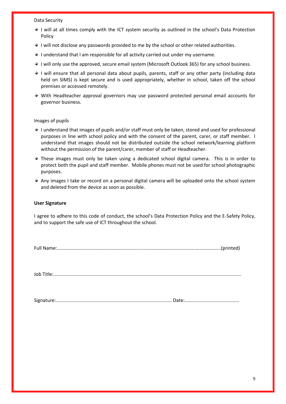Data Security

- $\rightarrow$  I will at all times comply with the ICT system security as outlined in the school's Data Protection Policy
- $\overrightarrow{ }$  I will not disclose any passwords provided to me by the school or other related authorities.
- I understand that I am responsible for all activity carried out under my username.
- $\star$  I will only use the approved, secure email system (Microsoft Outlook 365) for any school business.
- $\rightarrow$  1 will ensure that all personal data about pupils, parents, staff or any other party (including data held on SIMS) is kept secure and is used appropriately, whether in school, taken off the school premises or accessed remotely.
- With Headteacher approval governors may use password protected personal email accounts for governor business.

#### Images of pupils

- I understand that images of pupils and/or staff must only be taken, stored and used for professional purposes in line with school policy and with the consent of the parent, carer, or staff member. I understand that images should not be distributed outside the school network/learning platform without the permission of the parent/carer, member of staff or Headteacher.
- $\overline{\phantom{a}}$  These images must only be taken using a dedicated school digital camera. This is in order to protect both the pupil and staff member. Mobile phones must not be used for school photographic purposes.
- $\rightarrow$  Any images I take or record on a personal digital camera will be uploaded onto the school system and deleted from the device as soon as possible.

#### **User Signature**

I agree to adhere to this code of conduct, the school's Data Protection Policy and the E-Safety Policy, and to support the safe use of ICT throughout the school.

|--|--|

Job Title:.............................................................................................................................................

Signature:....................................................................................... Date:.........................................